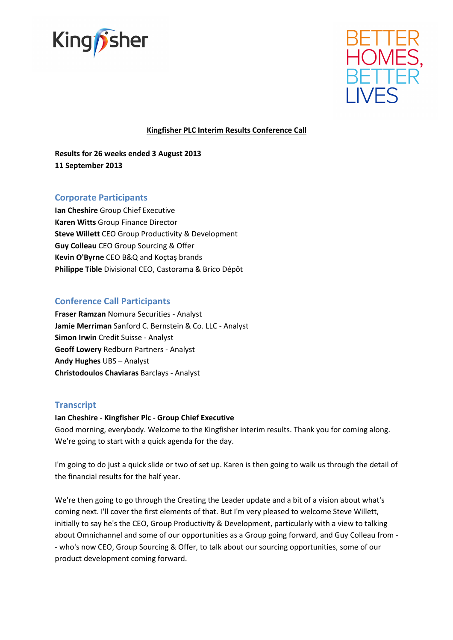



# Kingfisher PLC Interim Results Conference Call

Results for 26 weeks ended 3 August 2013 11 September 2013

# Corporate Participants

Ian Cheshire Group Chief Executive Karen Witts Group Finance Director Steve Willett CEO Group Productivity & Development Guy Colleau CEO Group Sourcing & Offer Kevin O'Byrne CEO B&Q and Koçtaş brands Philippe Tible Divisional CEO, Castorama & Brico Dépôt

# Conference Call Participants

Fraser Ramzan Nomura Securities - Analyst Jamie Merriman Sanford C. Bernstein & Co. LLC - Analyst Simon Irwin Credit Suisse - Analyst Geoff Lowery Redburn Partners - Analyst Andy Hughes UBS – Analyst Christodoulos Chaviaras Barclays - Analyst

# **Transcript**

### Ian Cheshire - Kingfisher Plc - Group Chief Executive

Good morning, everybody. Welcome to the Kingfisher interim results. Thank you for coming along. We're going to start with a quick agenda for the day.

I'm going to do just a quick slide or two of set up. Karen is then going to walk us through the detail of the financial results for the half year.

We're then going to go through the Creating the Leader update and a bit of a vision about what's coming next. I'll cover the first elements of that. But I'm very pleased to welcome Steve Willett, initially to say he's the CEO, Group Productivity & Development, particularly with a view to talking about Omnichannel and some of our opportunities as a Group going forward, and Guy Colleau from - - who's now CEO, Group Sourcing & Offer, to talk about our sourcing opportunities, some of our product development coming forward.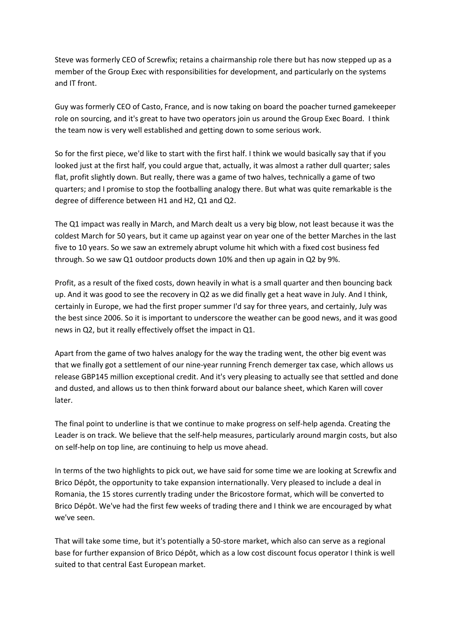Steve was formerly CEO of Screwfix; retains a chairmanship role there but has now stepped up as a member of the Group Exec with responsibilities for development, and particularly on the systems and IT front.

Guy was formerly CEO of Casto, France, and is now taking on board the poacher turned gamekeeper role on sourcing, and it's great to have two operators join us around the Group Exec Board. I think the team now is very well established and getting down to some serious work.

So for the first piece, we'd like to start with the first half. I think we would basically say that if you looked just at the first half, you could argue that, actually, it was almost a rather dull quarter; sales flat, profit slightly down. But really, there was a game of two halves, technically a game of two quarters; and I promise to stop the footballing analogy there. But what was quite remarkable is the degree of difference between H1 and H2, Q1 and Q2.

The Q1 impact was really in March, and March dealt us a very big blow, not least because it was the coldest March for 50 years, but it came up against year on year one of the better Marches in the last five to 10 years. So we saw an extremely abrupt volume hit which with a fixed cost business fed through. So we saw Q1 outdoor products down 10% and then up again in Q2 by 9%.

Profit, as a result of the fixed costs, down heavily in what is a small quarter and then bouncing back up. And it was good to see the recovery in Q2 as we did finally get a heat wave in July. And I think, certainly in Europe, we had the first proper summer I'd say for three years, and certainly, July was the best since 2006. So it is important to underscore the weather can be good news, and it was good news in Q2, but it really effectively offset the impact in Q1.

Apart from the game of two halves analogy for the way the trading went, the other big event was that we finally got a settlement of our nine-year running French demerger tax case, which allows us release GBP145 million exceptional credit. And it's very pleasing to actually see that settled and done and dusted, and allows us to then think forward about our balance sheet, which Karen will cover later.

The final point to underline is that we continue to make progress on self-help agenda. Creating the Leader is on track. We believe that the self-help measures, particularly around margin costs, but also on self-help on top line, are continuing to help us move ahead.

In terms of the two highlights to pick out, we have said for some time we are looking at Screwfix and Brico Dépôt, the opportunity to take expansion internationally. Very pleased to include a deal in Romania, the 15 stores currently trading under the Bricostore format, which will be converted to Brico Dépôt. We've had the first few weeks of trading there and I think we are encouraged by what we've seen.

That will take some time, but it's potentially a 50-store market, which also can serve as a regional base for further expansion of Brico Dépôt, which as a low cost discount focus operator I think is well suited to that central East European market.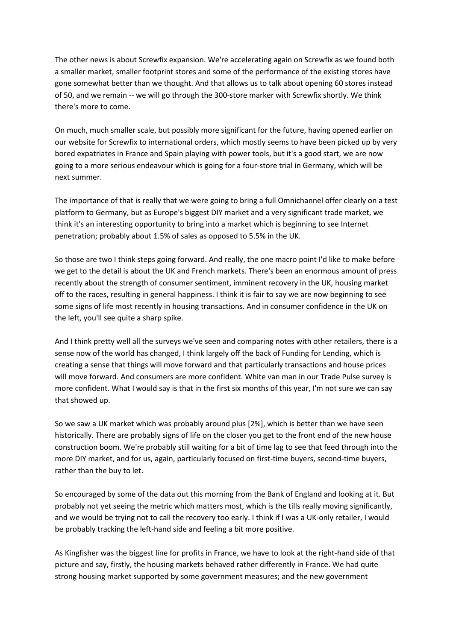The other news is about Screwfix expansion. We're accelerating again on Screwfix as we found both a smaller market, smaller footprint stores and some of the performance of the existing stores have gone somewhat better than we thought. And that allows us to talk about opening 60 stores instead of 50, and we remain -- we will go through the 300-store marker with Screwfix shortly. We think there's more to come.

On much, much smaller scale, but possibly more significant for the future, having opened earlier on our website for Screwfix to international orders, which mostly seems to have been picked up by very bored expatriates in France and Spain playing with power tools, but it's a good start, we are now going to a more serious endeavour which is going for a four-store trial in Germany, which will be next summer.

The importance of that is really that we were going to bring a full Omnichannel offer clearly on a test platform to Germany, but as Europe's biggest DIY market and a very significant trade market, we think it's an interesting opportunity to bring into a market which is beginning to see Internet penetration; probably about 1.5% of sales as opposed to 5.5% in the UK.

So those are two I think steps going forward. And really, the one macro point I'd like to make before we get to the detail is about the UK and French markets. There's been an enormous amount of press recently about the strength of consumer sentiment, imminent recovery in the UK, housing market off to the races, resulting in general happiness. I think it is fair to say we are now beginning to see some signs of life most recently in housing transactions. And in consumer confidence in the UK on the left, you'll see quite a sharp spike.

And I think pretty well all the surveys we've seen and comparing notes with other retailers, there is a sense now of the world has changed, I think largely off the back of Funding for Lending, which is creating a sense that things will move forward and that particularly transactions and house prices will move forward. And consumers are more confident. White van man in our Trade Pulse survey is more confident. What I would say is that in the first six months of this year, I'm not sure we can say that showed up.

So we saw a UK market which was probably around plus [2%], which is better than we have seen historically. There are probably signs of life on the closer you get to the front end of the new house construction boom. We're probably still waiting for a bit of time lag to see that feed through into the more DIY market, and for us, again, particularly focused on first-time buyers, second-time buyers, rather than the buy to let.

So encouraged by some of the data out this morning from the Bank of England and looking at it. But probably not yet seeing the metric which matters most, which is the tills really moving significantly, and we would be trying not to call the recovery too early. I think if I was a UK-only retailer, I would be probably tracking the left-hand side and feeling a bit more positive.

As Kingfisher was the biggest line for profits in France, we have to look at the right-hand side of that picture and say, firstly, the housing markets behaved rather differently in France. We had quite strong housing market supported by some government measures; and the new government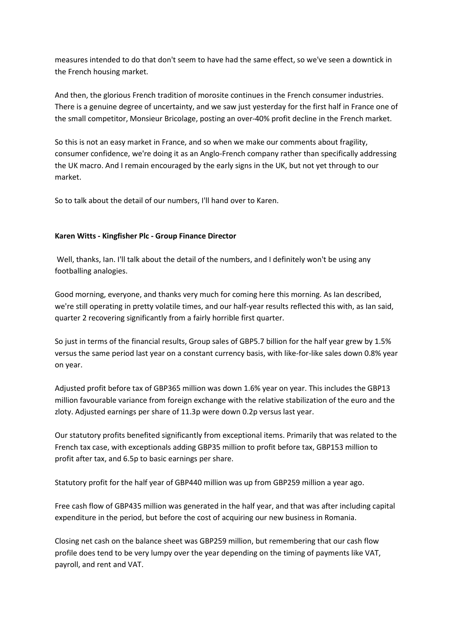measures intended to do that don't seem to have had the same effect, so we've seen a downtick in the French housing market.

And then, the glorious French tradition of morosite continues in the French consumer industries. There is a genuine degree of uncertainty, and we saw just yesterday for the first half in France one of the small competitor, Monsieur Bricolage, posting an over-40% profit decline in the French market.

So this is not an easy market in France, and so when we make our comments about fragility, consumer confidence, we're doing it as an Anglo-French company rather than specifically addressing the UK macro. And I remain encouraged by the early signs in the UK, but not yet through to our market.

So to talk about the detail of our numbers, I'll hand over to Karen.

# Karen Witts - Kingfisher Plc - Group Finance Director

Well, thanks, Ian. I'll talk about the detail of the numbers, and I definitely won't be using any footballing analogies.

Good morning, everyone, and thanks very much for coming here this morning. As Ian described, we're still operating in pretty volatile times, and our half-year results reflected this with, as Ian said, quarter 2 recovering significantly from a fairly horrible first quarter.

So just in terms of the financial results, Group sales of GBP5.7 billion for the half year grew by 1.5% versus the same period last year on a constant currency basis, with like-for-like sales down 0.8% year on year.

Adjusted profit before tax of GBP365 million was down 1.6% year on year. This includes the GBP13 million favourable variance from foreign exchange with the relative stabilization of the euro and the zloty. Adjusted earnings per share of 11.3p were down 0.2p versus last year.

Our statutory profits benefited significantly from exceptional items. Primarily that was related to the French tax case, with exceptionals adding GBP35 million to profit before tax, GBP153 million to profit after tax, and 6.5p to basic earnings per share.

Statutory profit for the half year of GBP440 million was up from GBP259 million a year ago.

Free cash flow of GBP435 million was generated in the half year, and that was after including capital expenditure in the period, but before the cost of acquiring our new business in Romania.

Closing net cash on the balance sheet was GBP259 million, but remembering that our cash flow profile does tend to be very lumpy over the year depending on the timing of payments like VAT, payroll, and rent and VAT.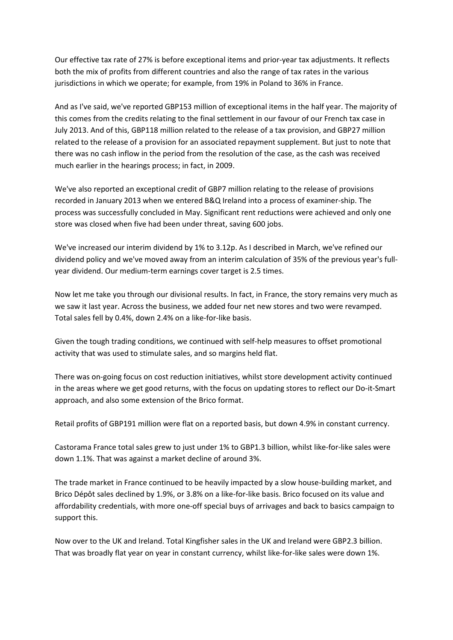Our effective tax rate of 27% is before exceptional items and prior-year tax adjustments. It reflects both the mix of profits from different countries and also the range of tax rates in the various jurisdictions in which we operate; for example, from 19% in Poland to 36% in France.

And as I've said, we've reported GBP153 million of exceptional items in the half year. The majority of this comes from the credits relating to the final settlement in our favour of our French tax case in July 2013. And of this, GBP118 million related to the release of a tax provision, and GBP27 million related to the release of a provision for an associated repayment supplement. But just to note that there was no cash inflow in the period from the resolution of the case, as the cash was received much earlier in the hearings process; in fact, in 2009.

We've also reported an exceptional credit of GBP7 million relating to the release of provisions recorded in January 2013 when we entered B&Q Ireland into a process of examiner-ship. The process was successfully concluded in May. Significant rent reductions were achieved and only one store was closed when five had been under threat, saving 600 jobs.

We've increased our interim dividend by 1% to 3.12p. As I described in March, we've refined our dividend policy and we've moved away from an interim calculation of 35% of the previous year's fullyear dividend. Our medium-term earnings cover target is 2.5 times.

Now let me take you through our divisional results. In fact, in France, the story remains very much as we saw it last year. Across the business, we added four net new stores and two were revamped. Total sales fell by 0.4%, down 2.4% on a like-for-like basis.

Given the tough trading conditions, we continued with self-help measures to offset promotional activity that was used to stimulate sales, and so margins held flat.

There was on-going focus on cost reduction initiatives, whilst store development activity continued in the areas where we get good returns, with the focus on updating stores to reflect our Do-it-Smart approach, and also some extension of the Brico format.

Retail profits of GBP191 million were flat on a reported basis, but down 4.9% in constant currency.

Castorama France total sales grew to just under 1% to GBP1.3 billion, whilst like-for-like sales were down 1.1%. That was against a market decline of around 3%.

The trade market in France continued to be heavily impacted by a slow house-building market, and Brico Dépôt sales declined by 1.9%, or 3.8% on a like-for-like basis. Brico focused on its value and affordability credentials, with more one-off special buys of arrivages and back to basics campaign to support this.

Now over to the UK and Ireland. Total Kingfisher sales in the UK and Ireland were GBP2.3 billion. That was broadly flat year on year in constant currency, whilst like-for-like sales were down 1%.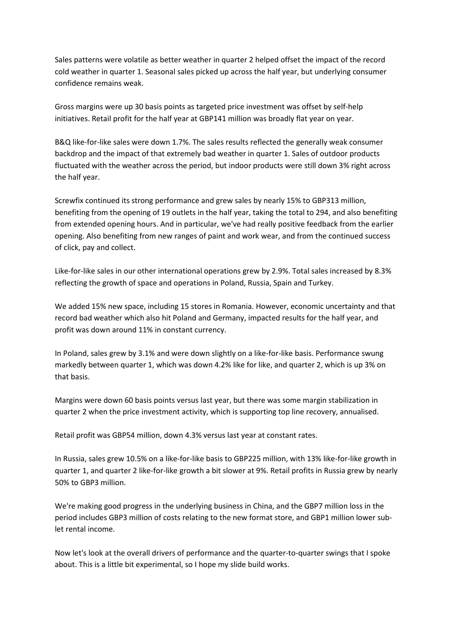Sales patterns were volatile as better weather in quarter 2 helped offset the impact of the record cold weather in quarter 1. Seasonal sales picked up across the half year, but underlying consumer confidence remains weak.

Gross margins were up 30 basis points as targeted price investment was offset by self-help initiatives. Retail profit for the half year at GBP141 million was broadly flat year on year.

B&Q like-for-like sales were down 1.7%. The sales results reflected the generally weak consumer backdrop and the impact of that extremely bad weather in quarter 1. Sales of outdoor products fluctuated with the weather across the period, but indoor products were still down 3% right across the half year.

Screwfix continued its strong performance and grew sales by nearly 15% to GBP313 million, benefiting from the opening of 19 outlets in the half year, taking the total to 294, and also benefiting from extended opening hours. And in particular, we've had really positive feedback from the earlier opening. Also benefiting from new ranges of paint and work wear, and from the continued success of click, pay and collect.

Like-for-like sales in our other international operations grew by 2.9%. Total sales increased by 8.3% reflecting the growth of space and operations in Poland, Russia, Spain and Turkey.

We added 15% new space, including 15 stores in Romania. However, economic uncertainty and that record bad weather which also hit Poland and Germany, impacted results for the half year, and profit was down around 11% in constant currency.

In Poland, sales grew by 3.1% and were down slightly on a like-for-like basis. Performance swung markedly between quarter 1, which was down 4.2% like for like, and quarter 2, which is up 3% on that basis.

Margins were down 60 basis points versus last year, but there was some margin stabilization in quarter 2 when the price investment activity, which is supporting top line recovery, annualised.

Retail profit was GBP54 million, down 4.3% versus last year at constant rates.

In Russia, sales grew 10.5% on a like-for-like basis to GBP225 million, with 13% like-for-like growth in quarter 1, and quarter 2 like-for-like growth a bit slower at 9%. Retail profits in Russia grew by nearly 50% to GBP3 million.

We're making good progress in the underlying business in China, and the GBP7 million loss in the period includes GBP3 million of costs relating to the new format store, and GBP1 million lower sublet rental income.

Now let's look at the overall drivers of performance and the quarter-to-quarter swings that I spoke about. This is a little bit experimental, so I hope my slide build works.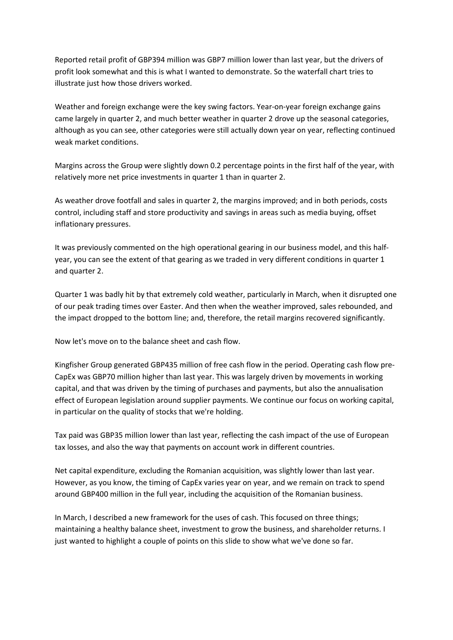Reported retail profit of GBP394 million was GBP7 million lower than last year, but the drivers of profit look somewhat and this is what I wanted to demonstrate. So the waterfall chart tries to illustrate just how those drivers worked.

Weather and foreign exchange were the key swing factors. Year-on-year foreign exchange gains came largely in quarter 2, and much better weather in quarter 2 drove up the seasonal categories, although as you can see, other categories were still actually down year on year, reflecting continued weak market conditions.

Margins across the Group were slightly down 0.2 percentage points in the first half of the year, with relatively more net price investments in quarter 1 than in quarter 2.

As weather drove footfall and sales in quarter 2, the margins improved; and in both periods, costs control, including staff and store productivity and savings in areas such as media buying, offset inflationary pressures.

It was previously commented on the high operational gearing in our business model, and this halfyear, you can see the extent of that gearing as we traded in very different conditions in quarter 1 and quarter 2.

Quarter 1 was badly hit by that extremely cold weather, particularly in March, when it disrupted one of our peak trading times over Easter. And then when the weather improved, sales rebounded, and the impact dropped to the bottom line; and, therefore, the retail margins recovered significantly.

Now let's move on to the balance sheet and cash flow.

Kingfisher Group generated GBP435 million of free cash flow in the period. Operating cash flow pre-CapEx was GBP70 million higher than last year. This was largely driven by movements in working capital, and that was driven by the timing of purchases and payments, but also the annualisation effect of European legislation around supplier payments. We continue our focus on working capital, in particular on the quality of stocks that we're holding.

Tax paid was GBP35 million lower than last year, reflecting the cash impact of the use of European tax losses, and also the way that payments on account work in different countries.

Net capital expenditure, excluding the Romanian acquisition, was slightly lower than last year. However, as you know, the timing of CapEx varies year on year, and we remain on track to spend around GBP400 million in the full year, including the acquisition of the Romanian business.

In March, I described a new framework for the uses of cash. This focused on three things; maintaining a healthy balance sheet, investment to grow the business, and shareholder returns. I just wanted to highlight a couple of points on this slide to show what we've done so far.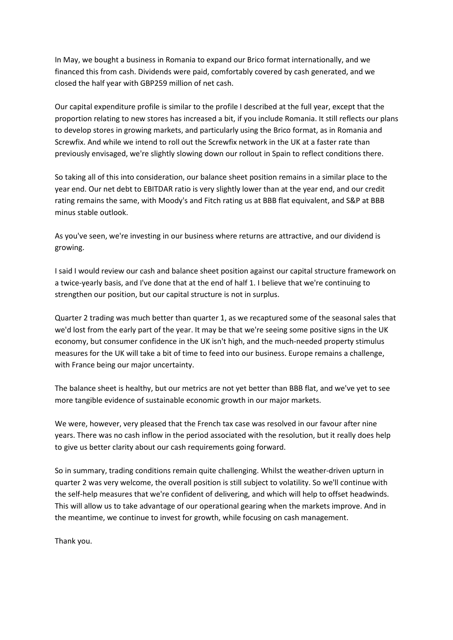In May, we bought a business in Romania to expand our Brico format internationally, and we financed this from cash. Dividends were paid, comfortably covered by cash generated, and we closed the half year with GBP259 million of net cash.

Our capital expenditure profile is similar to the profile I described at the full year, except that the proportion relating to new stores has increased a bit, if you include Romania. It still reflects our plans to develop stores in growing markets, and particularly using the Brico format, as in Romania and Screwfix. And while we intend to roll out the Screwfix network in the UK at a faster rate than previously envisaged, we're slightly slowing down our rollout in Spain to reflect conditions there.

So taking all of this into consideration, our balance sheet position remains in a similar place to the year end. Our net debt to EBITDAR ratio is very slightly lower than at the year end, and our credit rating remains the same, with Moody's and Fitch rating us at BBB flat equivalent, and S&P at BBB minus stable outlook.

As you've seen, we're investing in our business where returns are attractive, and our dividend is growing.

I said I would review our cash and balance sheet position against our capital structure framework on a twice-yearly basis, and I've done that at the end of half 1. I believe that we're continuing to strengthen our position, but our capital structure is not in surplus.

Quarter 2 trading was much better than quarter 1, as we recaptured some of the seasonal sales that we'd lost from the early part of the year. It may be that we're seeing some positive signs in the UK economy, but consumer confidence in the UK isn't high, and the much-needed property stimulus measures for the UK will take a bit of time to feed into our business. Europe remains a challenge, with France being our major uncertainty.

The balance sheet is healthy, but our metrics are not yet better than BBB flat, and we've yet to see more tangible evidence of sustainable economic growth in our major markets.

We were, however, very pleased that the French tax case was resolved in our favour after nine years. There was no cash inflow in the period associated with the resolution, but it really does help to give us better clarity about our cash requirements going forward.

So in summary, trading conditions remain quite challenging. Whilst the weather-driven upturn in quarter 2 was very welcome, the overall position is still subject to volatility. So we'll continue with the self-help measures that we're confident of delivering, and which will help to offset headwinds. This will allow us to take advantage of our operational gearing when the markets improve. And in the meantime, we continue to invest for growth, while focusing on cash management.

Thank you.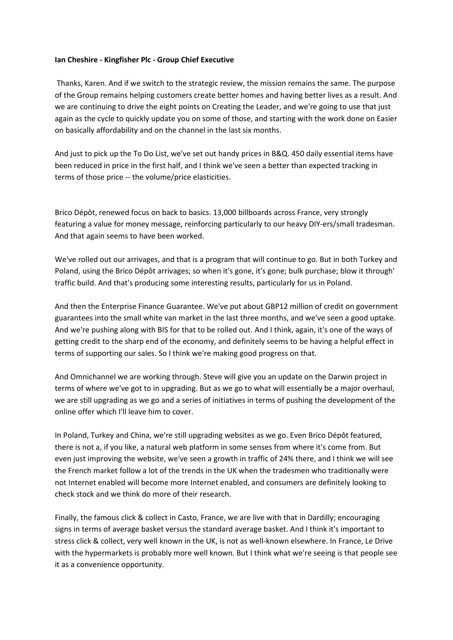### Ian Cheshire - Kingfisher Plc - Group Chief Executive

 Thanks, Karen. And if we switch to the strategic review, the mission remains the same. The purpose of the Group remains helping customers create better homes and having better lives as a result. And we are continuing to drive the eight points on Creating the Leader, and we're going to use that just again as the cycle to quickly update you on some of those, and starting with the work done on Easier on basically affordability and on the channel in the last six months.

And just to pick up the To Do List, we've set out handy prices in B&Q. 450 daily essential items have been reduced in price in the first half, and I think we've seen a better than expected tracking in terms of those price -- the volume/price elasticities.

Brico Dépôt, renewed focus on back to basics. 13,000 billboards across France, very strongly featuring a value for money message, reinforcing particularly to our heavy DIY-ers/small tradesman. And that again seems to have been worked.

We've rolled out our arrivages, and that is a program that will continue to go. But in both Turkey and Poland, using the Brico Dépôt arrivages; so when it's gone, it's gone; bulk purchase; blow it through' traffic build. And that's producing some interesting results, particularly for us in Poland.

And then the Enterprise Finance Guarantee. We've put about GBP12 million of credit on government guarantees into the small white van market in the last three months, and we've seen a good uptake. And we're pushing along with BIS for that to be rolled out. And I think, again, it's one of the ways of getting credit to the sharp end of the economy, and definitely seems to be having a helpful effect in terms of supporting our sales. So I think we're making good progress on that.

And Omnichannel we are working through. Steve will give you an update on the Darwin project in terms of where we've got to in upgrading. But as we go to what will essentially be a major overhaul, we are still upgrading as we go and a series of initiatives in terms of pushing the development of the online offer which I'll leave him to cover.

In Poland, Turkey and China, we're still upgrading websites as we go. Even Brico Dépôt featured, there is not a, if you like, a natural web platform in some senses from where it's come from. But even just improving the website, we've seen a growth in traffic of 24% there, and I think we will see the French market follow a lot of the trends in the UK when the tradesmen who traditionally were not Internet enabled will become more Internet enabled, and consumers are definitely looking to check stock and we think do more of their research.

Finally, the famous click & collect in Casto, France, we are live with that in Dardilly; encouraging signs in terms of average basket versus the standard average basket. And I think it's important to stress click & collect, very well known in the UK, is not as well-known elsewhere. In France, Le Drive with the hypermarkets is probably more well known. But I think what we're seeing is that people see it as a convenience opportunity.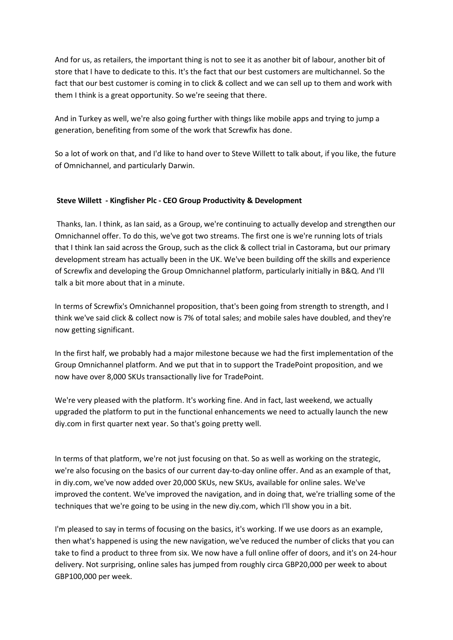And for us, as retailers, the important thing is not to see it as another bit of labour, another bit of store that I have to dedicate to this. It's the fact that our best customers are multichannel. So the fact that our best customer is coming in to click & collect and we can sell up to them and work with them I think is a great opportunity. So we're seeing that there.

And in Turkey as well, we're also going further with things like mobile apps and trying to jump a generation, benefiting from some of the work that Screwfix has done.

So a lot of work on that, and I'd like to hand over to Steve Willett to talk about, if you like, the future of Omnichannel, and particularly Darwin.

# Steve Willett - Kingfisher Plc - CEO Group Productivity & Development

 Thanks, Ian. I think, as Ian said, as a Group, we're continuing to actually develop and strengthen our Omnichannel offer. To do this, we've got two streams. The first one is we're running lots of trials that I think Ian said across the Group, such as the click & collect trial in Castorama, but our primary development stream has actually been in the UK. We've been building off the skills and experience of Screwfix and developing the Group Omnichannel platform, particularly initially in B&Q. And I'll talk a bit more about that in a minute.

In terms of Screwfix's Omnichannel proposition, that's been going from strength to strength, and I think we've said click & collect now is 7% of total sales; and mobile sales have doubled, and they're now getting significant.

In the first half, we probably had a major milestone because we had the first implementation of the Group Omnichannel platform. And we put that in to support the TradePoint proposition, and we now have over 8,000 SKUs transactionally live for TradePoint.

We're very pleased with the platform. It's working fine. And in fact, last weekend, we actually upgraded the platform to put in the functional enhancements we need to actually launch the new diy.com in first quarter next year. So that's going pretty well.

In terms of that platform, we're not just focusing on that. So as well as working on the strategic, we're also focusing on the basics of our current day-to-day online offer. And as an example of that, in diy.com, we've now added over 20,000 SKUs, new SKUs, available for online sales. We've improved the content. We've improved the navigation, and in doing that, we're trialling some of the techniques that we're going to be using in the new diy.com, which I'll show you in a bit.

I'm pleased to say in terms of focusing on the basics, it's working. If we use doors as an example, then what's happened is using the new navigation, we've reduced the number of clicks that you can take to find a product to three from six. We now have a full online offer of doors, and it's on 24-hour delivery. Not surprising, online sales has jumped from roughly circa GBP20,000 per week to about GBP100,000 per week.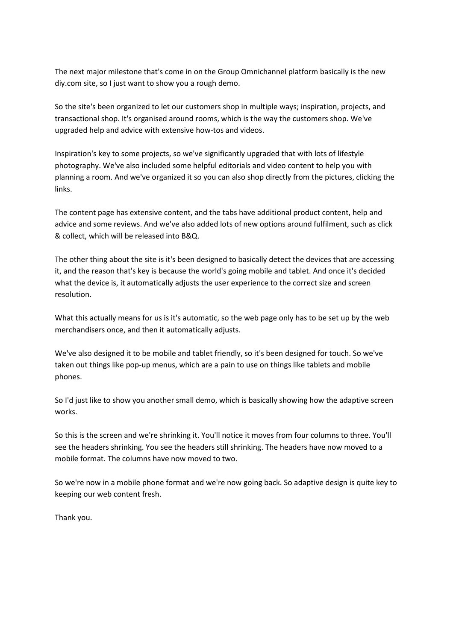The next major milestone that's come in on the Group Omnichannel platform basically is the new diy.com site, so I just want to show you a rough demo.

So the site's been organized to let our customers shop in multiple ways; inspiration, projects, and transactional shop. It's organised around rooms, which is the way the customers shop. We've upgraded help and advice with extensive how-tos and videos.

Inspiration's key to some projects, so we've significantly upgraded that with lots of lifestyle photography. We've also included some helpful editorials and video content to help you with planning a room. And we've organized it so you can also shop directly from the pictures, clicking the links.

The content page has extensive content, and the tabs have additional product content, help and advice and some reviews. And we've also added lots of new options around fulfilment, such as click & collect, which will be released into B&Q.

The other thing about the site is it's been designed to basically detect the devices that are accessing it, and the reason that's key is because the world's going mobile and tablet. And once it's decided what the device is, it automatically adjusts the user experience to the correct size and screen resolution.

What this actually means for us is it's automatic, so the web page only has to be set up by the web merchandisers once, and then it automatically adjusts.

We've also designed it to be mobile and tablet friendly, so it's been designed for touch. So we've taken out things like pop-up menus, which are a pain to use on things like tablets and mobile phones.

So I'd just like to show you another small demo, which is basically showing how the adaptive screen works.

So this is the screen and we're shrinking it. You'll notice it moves from four columns to three. You'll see the headers shrinking. You see the headers still shrinking. The headers have now moved to a mobile format. The columns have now moved to two.

So we're now in a mobile phone format and we're now going back. So adaptive design is quite key to keeping our web content fresh.

Thank you.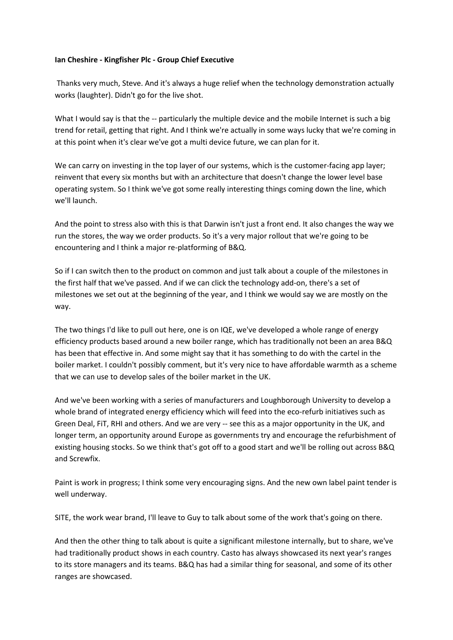### Ian Cheshire - Kingfisher Plc - Group Chief Executive

 Thanks very much, Steve. And it's always a huge relief when the technology demonstration actually works (laughter). Didn't go for the live shot.

What I would say is that the -- particularly the multiple device and the mobile Internet is such a big trend for retail, getting that right. And I think we're actually in some ways lucky that we're coming in at this point when it's clear we've got a multi device future, we can plan for it.

We can carry on investing in the top layer of our systems, which is the customer-facing app layer; reinvent that every six months but with an architecture that doesn't change the lower level base operating system. So I think we've got some really interesting things coming down the line, which we'll launch.

And the point to stress also with this is that Darwin isn't just a front end. It also changes the way we run the stores, the way we order products. So it's a very major rollout that we're going to be encountering and I think a major re-platforming of B&Q.

So if I can switch then to the product on common and just talk about a couple of the milestones in the first half that we've passed. And if we can click the technology add-on, there's a set of milestones we set out at the beginning of the year, and I think we would say we are mostly on the way.

The two things I'd like to pull out here, one is on IQE, we've developed a whole range of energy efficiency products based around a new boiler range, which has traditionally not been an area B&Q has been that effective in. And some might say that it has something to do with the cartel in the boiler market. I couldn't possibly comment, but it's very nice to have affordable warmth as a scheme that we can use to develop sales of the boiler market in the UK.

And we've been working with a series of manufacturers and Loughborough University to develop a whole brand of integrated energy efficiency which will feed into the eco-refurb initiatives such as Green Deal, FiT, RHI and others. And we are very -- see this as a major opportunity in the UK, and longer term, an opportunity around Europe as governments try and encourage the refurbishment of existing housing stocks. So we think that's got off to a good start and we'll be rolling out across B&Q and Screwfix.

Paint is work in progress; I think some very encouraging signs. And the new own label paint tender is well underway.

SITE, the work wear brand, I'll leave to Guy to talk about some of the work that's going on there.

And then the other thing to talk about is quite a significant milestone internally, but to share, we've had traditionally product shows in each country. Casto has always showcased its next year's ranges to its store managers and its teams. B&Q has had a similar thing for seasonal, and some of its other ranges are showcased.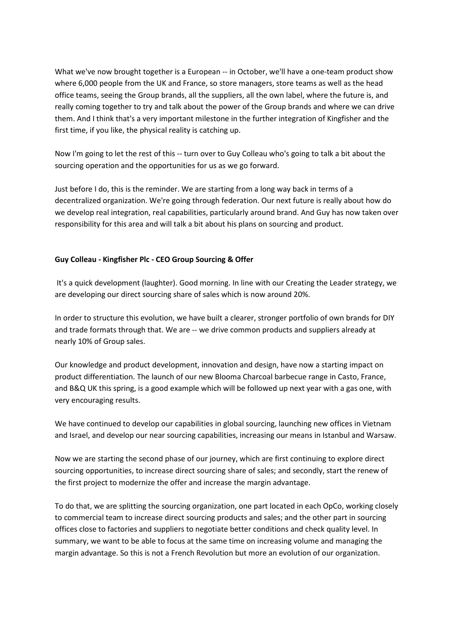What we've now brought together is a European -- in October, we'll have a one-team product show where 6,000 people from the UK and France, so store managers, store teams as well as the head office teams, seeing the Group brands, all the suppliers, all the own label, where the future is, and really coming together to try and talk about the power of the Group brands and where we can drive them. And I think that's a very important milestone in the further integration of Kingfisher and the first time, if you like, the physical reality is catching up.

Now I'm going to let the rest of this -- turn over to Guy Colleau who's going to talk a bit about the sourcing operation and the opportunities for us as we go forward.

Just before I do, this is the reminder. We are starting from a long way back in terms of a decentralized organization. We're going through federation. Our next future is really about how do we develop real integration, real capabilities, particularly around brand. And Guy has now taken over responsibility for this area and will talk a bit about his plans on sourcing and product.

# Guy Colleau - Kingfisher Plc - CEO Group Sourcing & Offer

 It's a quick development (laughter). Good morning. In line with our Creating the Leader strategy, we are developing our direct sourcing share of sales which is now around 20%.

In order to structure this evolution, we have built a clearer, stronger portfolio of own brands for DIY and trade formats through that. We are -- we drive common products and suppliers already at nearly 10% of Group sales.

Our knowledge and product development, innovation and design, have now a starting impact on product differentiation. The launch of our new Blooma Charcoal barbecue range in Casto, France, and B&Q UK this spring, is a good example which will be followed up next year with a gas one, with very encouraging results.

We have continued to develop our capabilities in global sourcing, launching new offices in Vietnam and Israel, and develop our near sourcing capabilities, increasing our means in Istanbul and Warsaw.

Now we are starting the second phase of our journey, which are first continuing to explore direct sourcing opportunities, to increase direct sourcing share of sales; and secondly, start the renew of the first project to modernize the offer and increase the margin advantage.

To do that, we are splitting the sourcing organization, one part located in each OpCo, working closely to commercial team to increase direct sourcing products and sales; and the other part in sourcing offices close to factories and suppliers to negotiate better conditions and check quality level. In summary, we want to be able to focus at the same time on increasing volume and managing the margin advantage. So this is not a French Revolution but more an evolution of our organization.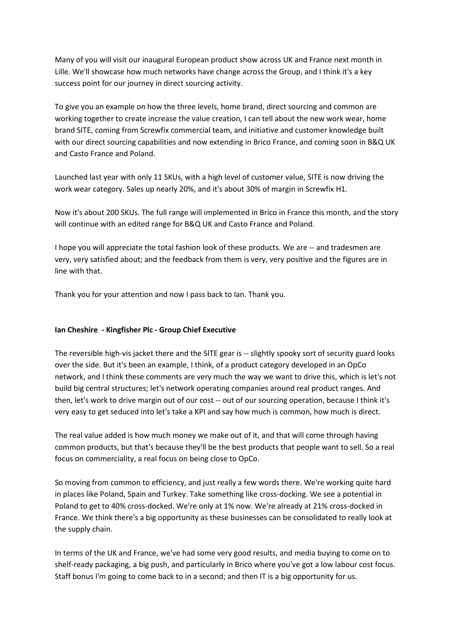Many of you will visit our inaugural European product show across UK and France next month in Lille. We'll showcase how much networks have change across the Group, and I think it's a key success point for our journey in direct sourcing activity.

To give you an example on how the three levels, home brand, direct sourcing and common are working together to create increase the value creation, I can tell about the new work wear, home brand SITE, coming from Screwfix commercial team, and initiative and customer knowledge built with our direct sourcing capabilities and now extending in Brico France, and coming soon in B&Q UK and Casto France and Poland.

Launched last year with only 11 SKUs, with a high level of customer value, SITE is now driving the work wear category. Sales up nearly 20%, and it's about 30% of margin in Screwfix H1.

Now it's about 200 SKUs. The full range will implemented in Brico in France this month, and the story will continue with an edited range for B&Q UK and Casto France and Poland.

I hope you will appreciate the total fashion look of these products. We are -- and tradesmen are very, very satisfied about; and the feedback from them is very, very positive and the figures are in line with that.

Thank you for your attention and now I pass back to Ian. Thank you.

### Ian Cheshire - Kingfisher Plc - Group Chief Executive

The reversible high-vis jacket there and the SITE gear is -- slightly spooky sort of security guard looks over the side. But it's been an example, I think, of a product category developed in an OpCo network, and I think these comments are very much the way we want to drive this, which is let's not build big central structures; let's network operating companies around real product ranges. And then, let's work to drive margin out of our cost -- out of our sourcing operation, because I think it's very easy to get seduced into let's take a KPI and say how much is common, how much is direct.

The real value added is how much money we make out of it, and that will come through having common products, but that's because they'll be the best products that people want to sell. So a real focus on commerciality, a real focus on being close to OpCo.

So moving from common to efficiency, and just really a few words there. We're working quite hard in places like Poland, Spain and Turkey. Take something like cross-docking. We see a potential in Poland to get to 40% cross-docked. We're only at 1% now. We're already at 21% cross-docked in France. We think there's a big opportunity as these businesses can be consolidated to really look at the supply chain.

In terms of the UK and France, we've had some very good results, and media buying to come on to shelf-ready packaging, a big push, and particularly in Brico where you've got a low labour cost focus. Staff bonus I'm going to come back to in a second; and then IT is a big opportunity for us.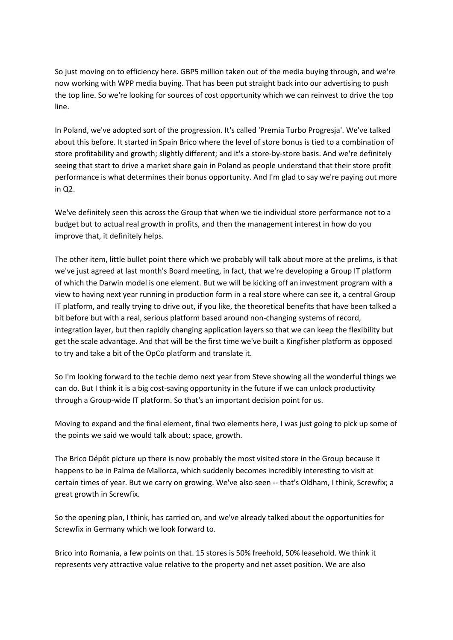So just moving on to efficiency here. GBP5 million taken out of the media buying through, and we're now working with WPP media buying. That has been put straight back into our advertising to push the top line. So we're looking for sources of cost opportunity which we can reinvest to drive the top line.

In Poland, we've adopted sort of the progression. It's called 'Premia Turbo Progresja'. We've talked about this before. It started in Spain Brico where the level of store bonus is tied to a combination of store profitability and growth; slightly different; and it's a store-by-store basis. And we're definitely seeing that start to drive a market share gain in Poland as people understand that their store profit performance is what determines their bonus opportunity. And I'm glad to say we're paying out more in Q2.

We've definitely seen this across the Group that when we tie individual store performance not to a budget but to actual real growth in profits, and then the management interest in how do you improve that, it definitely helps.

The other item, little bullet point there which we probably will talk about more at the prelims, is that we've just agreed at last month's Board meeting, in fact, that we're developing a Group IT platform of which the Darwin model is one element. But we will be kicking off an investment program with a view to having next year running in production form in a real store where can see it, a central Group IT platform, and really trying to drive out, if you like, the theoretical benefits that have been talked a bit before but with a real, serious platform based around non-changing systems of record, integration layer, but then rapidly changing application layers so that we can keep the flexibility but get the scale advantage. And that will be the first time we've built a Kingfisher platform as opposed to try and take a bit of the OpCo platform and translate it.

So I'm looking forward to the techie demo next year from Steve showing all the wonderful things we can do. But I think it is a big cost-saving opportunity in the future if we can unlock productivity through a Group-wide IT platform. So that's an important decision point for us.

Moving to expand and the final element, final two elements here, I was just going to pick up some of the points we said we would talk about; space, growth.

The Brico Dépôt picture up there is now probably the most visited store in the Group because it happens to be in Palma de Mallorca, which suddenly becomes incredibly interesting to visit at certain times of year. But we carry on growing. We've also seen -- that's Oldham, I think, Screwfix; a great growth in Screwfix.

So the opening plan, I think, has carried on, and we've already talked about the opportunities for Screwfix in Germany which we look forward to.

Brico into Romania, a few points on that. 15 stores is 50% freehold, 50% leasehold. We think it represents very attractive value relative to the property and net asset position. We are also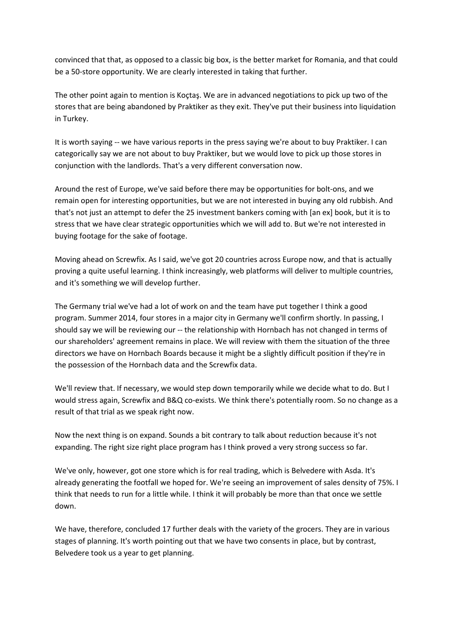convinced that that, as opposed to a classic big box, is the better market for Romania, and that could be a 50-store opportunity. We are clearly interested in taking that further.

The other point again to mention is Koçtaş. We are in advanced negotiations to pick up two of the stores that are being abandoned by Praktiker as they exit. They've put their business into liquidation in Turkey.

It is worth saying -- we have various reports in the press saying we're about to buy Praktiker. I can categorically say we are not about to buy Praktiker, but we would love to pick up those stores in conjunction with the landlords. That's a very different conversation now.

Around the rest of Europe, we've said before there may be opportunities for bolt-ons, and we remain open for interesting opportunities, but we are not interested in buying any old rubbish. And that's not just an attempt to defer the 25 investment bankers coming with [an ex] book, but it is to stress that we have clear strategic opportunities which we will add to. But we're not interested in buying footage for the sake of footage.

Moving ahead on Screwfix. As I said, we've got 20 countries across Europe now, and that is actually proving a quite useful learning. I think increasingly, web platforms will deliver to multiple countries, and it's something we will develop further.

The Germany trial we've had a lot of work on and the team have put together I think a good program. Summer 2014, four stores in a major city in Germany we'll confirm shortly. In passing, I should say we will be reviewing our -- the relationship with Hornbach has not changed in terms of our shareholders' agreement remains in place. We will review with them the situation of the three directors we have on Hornbach Boards because it might be a slightly difficult position if they're in the possession of the Hornbach data and the Screwfix data.

We'll review that. If necessary, we would step down temporarily while we decide what to do. But I would stress again, Screwfix and B&Q co-exists. We think there's potentially room. So no change as a result of that trial as we speak right now.

Now the next thing is on expand. Sounds a bit contrary to talk about reduction because it's not expanding. The right size right place program has I think proved a very strong success so far.

We've only, however, got one store which is for real trading, which is Belvedere with Asda. It's already generating the footfall we hoped for. We're seeing an improvement of sales density of 75%. I think that needs to run for a little while. I think it will probably be more than that once we settle down.

We have, therefore, concluded 17 further deals with the variety of the grocers. They are in various stages of planning. It's worth pointing out that we have two consents in place, but by contrast, Belvedere took us a year to get planning.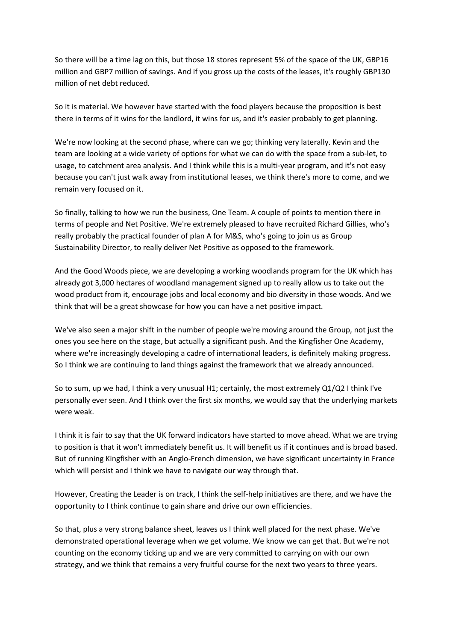So there will be a time lag on this, but those 18 stores represent 5% of the space of the UK, GBP16 million and GBP7 million of savings. And if you gross up the costs of the leases, it's roughly GBP130 million of net debt reduced.

So it is material. We however have started with the food players because the proposition is best there in terms of it wins for the landlord, it wins for us, and it's easier probably to get planning.

We're now looking at the second phase, where can we go; thinking very laterally. Kevin and the team are looking at a wide variety of options for what we can do with the space from a sub-let, to usage, to catchment area analysis. And I think while this is a multi-year program, and it's not easy because you can't just walk away from institutional leases, we think there's more to come, and we remain very focused on it.

So finally, talking to how we run the business, One Team. A couple of points to mention there in terms of people and Net Positive. We're extremely pleased to have recruited Richard Gillies, who's really probably the practical founder of plan A for M&S, who's going to join us as Group Sustainability Director, to really deliver Net Positive as opposed to the framework.

And the Good Woods piece, we are developing a working woodlands program for the UK which has already got 3,000 hectares of woodland management signed up to really allow us to take out the wood product from it, encourage jobs and local economy and bio diversity in those woods. And we think that will be a great showcase for how you can have a net positive impact.

We've also seen a major shift in the number of people we're moving around the Group, not just the ones you see here on the stage, but actually a significant push. And the Kingfisher One Academy, where we're increasingly developing a cadre of international leaders, is definitely making progress. So I think we are continuing to land things against the framework that we already announced.

So to sum, up we had, I think a very unusual H1; certainly, the most extremely Q1/Q2 I think I've personally ever seen. And I think over the first six months, we would say that the underlying markets were weak.

I think it is fair to say that the UK forward indicators have started to move ahead. What we are trying to position is that it won't immediately benefit us. It will benefit us if it continues and is broad based. But of running Kingfisher with an Anglo-French dimension, we have significant uncertainty in France which will persist and I think we have to navigate our way through that.

However, Creating the Leader is on track, I think the self-help initiatives are there, and we have the opportunity to I think continue to gain share and drive our own efficiencies.

So that, plus a very strong balance sheet, leaves us I think well placed for the next phase. We've demonstrated operational leverage when we get volume. We know we can get that. But we're not counting on the economy ticking up and we are very committed to carrying on with our own strategy, and we think that remains a very fruitful course for the next two years to three years.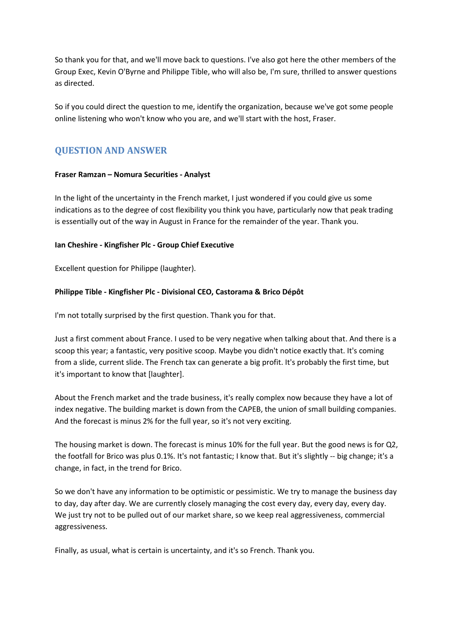So thank you for that, and we'll move back to questions. I've also got here the other members of the Group Exec, Kevin O'Byrne and Philippe Tible, who will also be, I'm sure, thrilled to answer questions as directed.

So if you could direct the question to me, identify the organization, because we've got some people online listening who won't know who you are, and we'll start with the host, Fraser.

# QUESTION AND ANSWER

# Fraser Ramzan – Nomura Securities - Analyst

In the light of the uncertainty in the French market, I just wondered if you could give us some indications as to the degree of cost flexibility you think you have, particularly now that peak trading is essentially out of the way in August in France for the remainder of the year. Thank you.

# Ian Cheshire - Kingfisher Plc - Group Chief Executive

Excellent question for Philippe (laughter).

# Philippe Tible - Kingfisher Plc - Divisional CEO, Castorama & Brico Dépôt

I'm not totally surprised by the first question. Thank you for that.

Just a first comment about France. I used to be very negative when talking about that. And there is a scoop this year; a fantastic, very positive scoop. Maybe you didn't notice exactly that. It's coming from a slide, current slide. The French tax can generate a big profit. It's probably the first time, but it's important to know that [laughter].

About the French market and the trade business, it's really complex now because they have a lot of index negative. The building market is down from the CAPEB, the union of small building companies. And the forecast is minus 2% for the full year, so it's not very exciting.

The housing market is down. The forecast is minus 10% for the full year. But the good news is for Q2, the footfall for Brico was plus 0.1%. It's not fantastic; I know that. But it's slightly -- big change; it's a change, in fact, in the trend for Brico.

So we don't have any information to be optimistic or pessimistic. We try to manage the business day to day, day after day. We are currently closely managing the cost every day, every day, every day. We just try not to be pulled out of our market share, so we keep real aggressiveness, commercial aggressiveness.

Finally, as usual, what is certain is uncertainty, and it's so French. Thank you.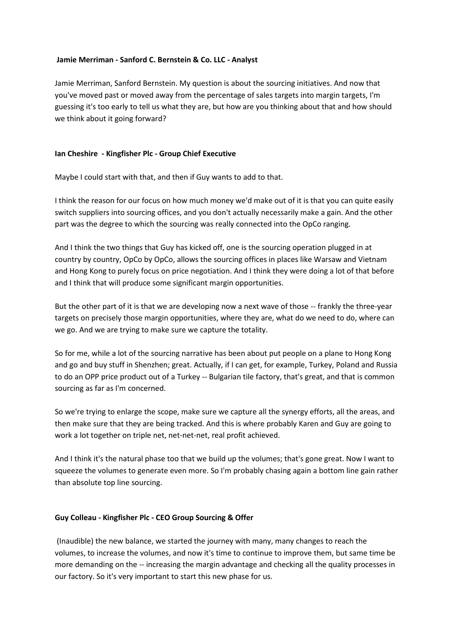### Jamie Merriman - Sanford C. Bernstein & Co. LLC - Analyst

Jamie Merriman, Sanford Bernstein. My question is about the sourcing initiatives. And now that you've moved past or moved away from the percentage of sales targets into margin targets, I'm guessing it's too early to tell us what they are, but how are you thinking about that and how should we think about it going forward?

# Ian Cheshire - Kingfisher Plc - Group Chief Executive

Maybe I could start with that, and then if Guy wants to add to that.

I think the reason for our focus on how much money we'd make out of it is that you can quite easily switch suppliers into sourcing offices, and you don't actually necessarily make a gain. And the other part was the degree to which the sourcing was really connected into the OpCo ranging.

And I think the two things that Guy has kicked off, one is the sourcing operation plugged in at country by country, OpCo by OpCo, allows the sourcing offices in places like Warsaw and Vietnam and Hong Kong to purely focus on price negotiation. And I think they were doing a lot of that before and I think that will produce some significant margin opportunities.

But the other part of it is that we are developing now a next wave of those -- frankly the three-year targets on precisely those margin opportunities, where they are, what do we need to do, where can we go. And we are trying to make sure we capture the totality.

So for me, while a lot of the sourcing narrative has been about put people on a plane to Hong Kong and go and buy stuff in Shenzhen; great. Actually, if I can get, for example, Turkey, Poland and Russia to do an OPP price product out of a Turkey -- Bulgarian tile factory, that's great, and that is common sourcing as far as I'm concerned.

So we're trying to enlarge the scope, make sure we capture all the synergy efforts, all the areas, and then make sure that they are being tracked. And this is where probably Karen and Guy are going to work a lot together on triple net, net-net-net, real profit achieved.

And I think it's the natural phase too that we build up the volumes; that's gone great. Now I want to squeeze the volumes to generate even more. So I'm probably chasing again a bottom line gain rather than absolute top line sourcing.

### Guy Colleau - Kingfisher Plc - CEO Group Sourcing & Offer

 (Inaudible) the new balance, we started the journey with many, many changes to reach the volumes, to increase the volumes, and now it's time to continue to improve them, but same time be more demanding on the -- increasing the margin advantage and checking all the quality processes in our factory. So it's very important to start this new phase for us.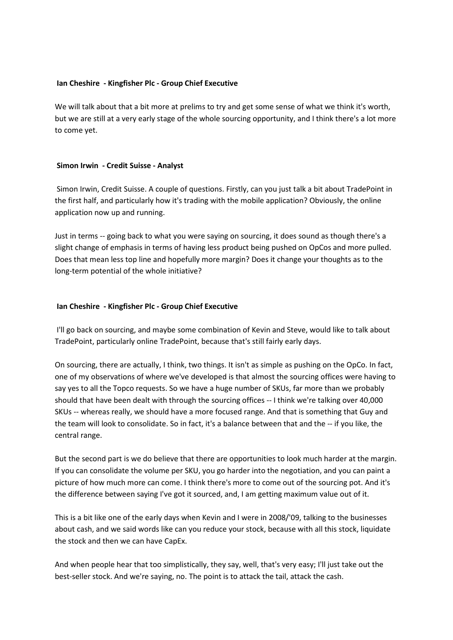#### Ian Cheshire - Kingfisher Plc - Group Chief Executive

We will talk about that a bit more at prelims to try and get some sense of what we think it's worth, but we are still at a very early stage of the whole sourcing opportunity, and I think there's a lot more to come yet.

#### Simon Irwin - Credit Suisse - Analyst

 Simon Irwin, Credit Suisse. A couple of questions. Firstly, can you just talk a bit about TradePoint in the first half, and particularly how it's trading with the mobile application? Obviously, the online application now up and running.

Just in terms -- going back to what you were saying on sourcing, it does sound as though there's a slight change of emphasis in terms of having less product being pushed on OpCos and more pulled. Does that mean less top line and hopefully more margin? Does it change your thoughts as to the long-term potential of the whole initiative?

#### Ian Cheshire - Kingfisher Plc - Group Chief Executive

 I'll go back on sourcing, and maybe some combination of Kevin and Steve, would like to talk about TradePoint, particularly online TradePoint, because that's still fairly early days.

On sourcing, there are actually, I think, two things. It isn't as simple as pushing on the OpCo. In fact, one of my observations of where we've developed is that almost the sourcing offices were having to say yes to all the Topco requests. So we have a huge number of SKUs, far more than we probably should that have been dealt with through the sourcing offices -- I think we're talking over 40,000 SKUs -- whereas really, we should have a more focused range. And that is something that Guy and the team will look to consolidate. So in fact, it's a balance between that and the -- if you like, the central range.

But the second part is we do believe that there are opportunities to look much harder at the margin. If you can consolidate the volume per SKU, you go harder into the negotiation, and you can paint a picture of how much more can come. I think there's more to come out of the sourcing pot. And it's the difference between saying I've got it sourced, and, I am getting maximum value out of it.

This is a bit like one of the early days when Kevin and I were in 2008/'09, talking to the businesses about cash, and we said words like can you reduce your stock, because with all this stock, liquidate the stock and then we can have CapEx.

And when people hear that too simplistically, they say, well, that's very easy; I'll just take out the best-seller stock. And we're saying, no. The point is to attack the tail, attack the cash.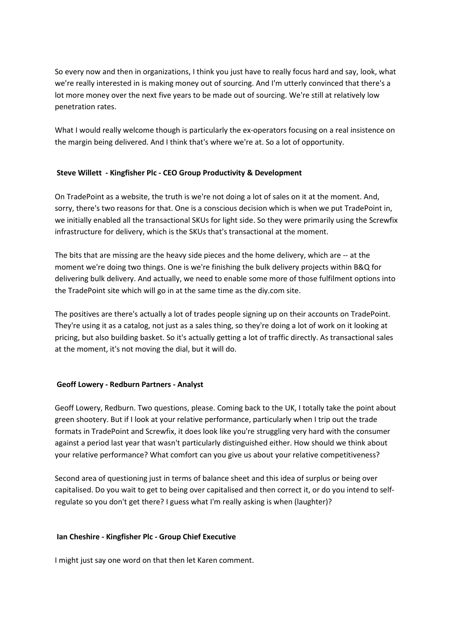So every now and then in organizations, I think you just have to really focus hard and say, look, what we're really interested in is making money out of sourcing. And I'm utterly convinced that there's a lot more money over the next five years to be made out of sourcing. We're still at relatively low penetration rates.

What I would really welcome though is particularly the ex-operators focusing on a real insistence on the margin being delivered. And I think that's where we're at. So a lot of opportunity.

# Steve Willett - Kingfisher Plc - CEO Group Productivity & Development

On TradePoint as a website, the truth is we're not doing a lot of sales on it at the moment. And, sorry, there's two reasons for that. One is a conscious decision which is when we put TradePoint in, we initially enabled all the transactional SKUs for light side. So they were primarily using the Screwfix infrastructure for delivery, which is the SKUs that's transactional at the moment.

The bits that are missing are the heavy side pieces and the home delivery, which are -- at the moment we're doing two things. One is we're finishing the bulk delivery projects within B&Q for delivering bulk delivery. And actually, we need to enable some more of those fulfilment options into the TradePoint site which will go in at the same time as the diy.com site.

The positives are there's actually a lot of trades people signing up on their accounts on TradePoint. They're using it as a catalog, not just as a sales thing, so they're doing a lot of work on it looking at pricing, but also building basket. So it's actually getting a lot of traffic directly. As transactional sales at the moment, it's not moving the dial, but it will do.

# Geoff Lowery - Redburn Partners - Analyst

Geoff Lowery, Redburn. Two questions, please. Coming back to the UK, I totally take the point about green shootery. But if I look at your relative performance, particularly when I trip out the trade formats in TradePoint and Screwfix, it does look like you're struggling very hard with the consumer against a period last year that wasn't particularly distinguished either. How should we think about your relative performance? What comfort can you give us about your relative competitiveness?

Second area of questioning just in terms of balance sheet and this idea of surplus or being over capitalised. Do you wait to get to being over capitalised and then correct it, or do you intend to selfregulate so you don't get there? I guess what I'm really asking is when (laughter)?

### Ian Cheshire - Kingfisher Plc - Group Chief Executive

I might just say one word on that then let Karen comment.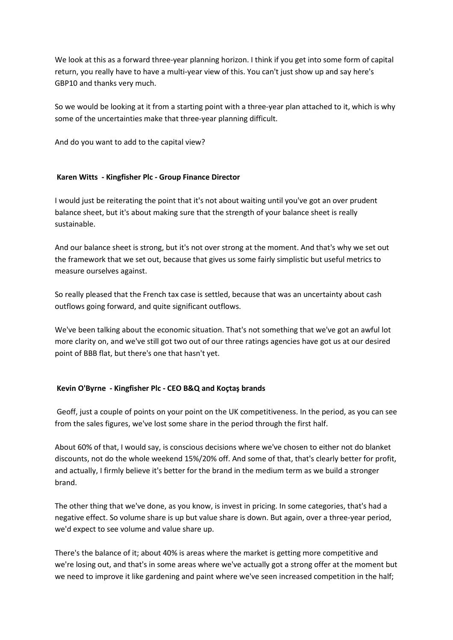We look at this as a forward three-year planning horizon. I think if you get into some form of capital return, you really have to have a multi-year view of this. You can't just show up and say here's GBP10 and thanks very much.

So we would be looking at it from a starting point with a three-year plan attached to it, which is why some of the uncertainties make that three-year planning difficult.

And do you want to add to the capital view?

# Karen Witts - Kingfisher Plc - Group Finance Director

I would just be reiterating the point that it's not about waiting until you've got an over prudent balance sheet, but it's about making sure that the strength of your balance sheet is really sustainable.

And our balance sheet is strong, but it's not over strong at the moment. And that's why we set out the framework that we set out, because that gives us some fairly simplistic but useful metrics to measure ourselves against.

So really pleased that the French tax case is settled, because that was an uncertainty about cash outflows going forward, and quite significant outflows.

We've been talking about the economic situation. That's not something that we've got an awful lot more clarity on, and we've still got two out of our three ratings agencies have got us at our desired point of BBB flat, but there's one that hasn't yet.

# Kevin O'Byrne - Kingfisher Plc - CEO B&Q and Koçtaş brands

 Geoff, just a couple of points on your point on the UK competitiveness. In the period, as you can see from the sales figures, we've lost some share in the period through the first half.

About 60% of that, I would say, is conscious decisions where we've chosen to either not do blanket discounts, not do the whole weekend 15%/20% off. And some of that, that's clearly better for profit, and actually, I firmly believe it's better for the brand in the medium term as we build a stronger brand.

The other thing that we've done, as you know, is invest in pricing. In some categories, that's had a negative effect. So volume share is up but value share is down. But again, over a three-year period, we'd expect to see volume and value share up.

There's the balance of it; about 40% is areas where the market is getting more competitive and we're losing out, and that's in some areas where we've actually got a strong offer at the moment but we need to improve it like gardening and paint where we've seen increased competition in the half;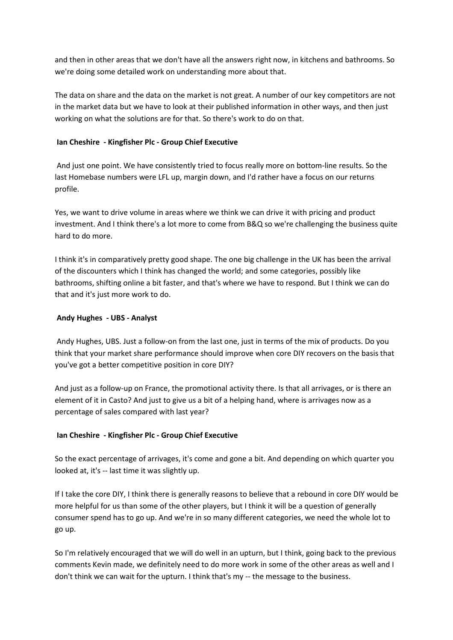and then in other areas that we don't have all the answers right now, in kitchens and bathrooms. So we're doing some detailed work on understanding more about that.

The data on share and the data on the market is not great. A number of our key competitors are not in the market data but we have to look at their published information in other ways, and then just working on what the solutions are for that. So there's work to do on that.

# Ian Cheshire - Kingfisher Plc - Group Chief Executive

 And just one point. We have consistently tried to focus really more on bottom-line results. So the last Homebase numbers were LFL up, margin down, and I'd rather have a focus on our returns profile.

Yes, we want to drive volume in areas where we think we can drive it with pricing and product investment. And I think there's a lot more to come from B&Q so we're challenging the business quite hard to do more.

I think it's in comparatively pretty good shape. The one big challenge in the UK has been the arrival of the discounters which I think has changed the world; and some categories, possibly like bathrooms, shifting online a bit faster, and that's where we have to respond. But I think we can do that and it's just more work to do.

# Andy Hughes - UBS - Analyst

 Andy Hughes, UBS. Just a follow-on from the last one, just in terms of the mix of products. Do you think that your market share performance should improve when core DIY recovers on the basis that you've got a better competitive position in core DIY?

And just as a follow-up on France, the promotional activity there. Is that all arrivages, or is there an element of it in Casto? And just to give us a bit of a helping hand, where is arrivages now as a percentage of sales compared with last year?

# Ian Cheshire - Kingfisher Plc - Group Chief Executive

So the exact percentage of arrivages, it's come and gone a bit. And depending on which quarter you looked at, it's -- last time it was slightly up.

If I take the core DIY, I think there is generally reasons to believe that a rebound in core DIY would be more helpful for us than some of the other players, but I think it will be a question of generally consumer spend has to go up. And we're in so many different categories, we need the whole lot to go up.

So I'm relatively encouraged that we will do well in an upturn, but I think, going back to the previous comments Kevin made, we definitely need to do more work in some of the other areas as well and I don't think we can wait for the upturn. I think that's my -- the message to the business.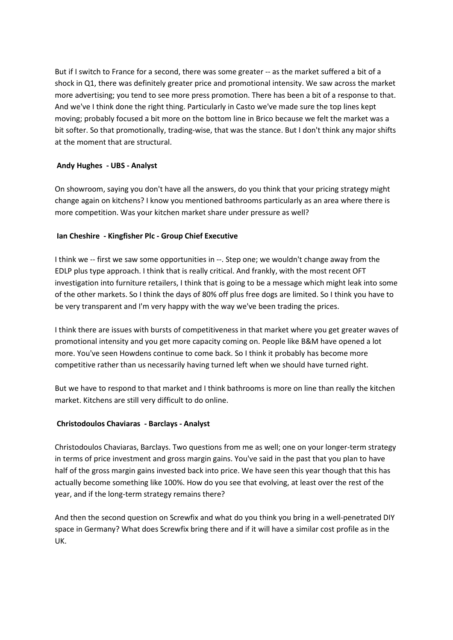But if I switch to France for a second, there was some greater -- as the market suffered a bit of a shock in Q1, there was definitely greater price and promotional intensity. We saw across the market more advertising; you tend to see more press promotion. There has been a bit of a response to that. And we've I think done the right thing. Particularly in Casto we've made sure the top lines kept moving; probably focused a bit more on the bottom line in Brico because we felt the market was a bit softer. So that promotionally, trading-wise, that was the stance. But I don't think any major shifts at the moment that are structural.

# Andy Hughes - UBS - Analyst

On showroom, saying you don't have all the answers, do you think that your pricing strategy might change again on kitchens? I know you mentioned bathrooms particularly as an area where there is more competition. Was your kitchen market share under pressure as well?

# Ian Cheshire - Kingfisher Plc - Group Chief Executive

I think we -- first we saw some opportunities in --. Step one; we wouldn't change away from the EDLP plus type approach. I think that is really critical. And frankly, with the most recent OFT investigation into furniture retailers, I think that is going to be a message which might leak into some of the other markets. So I think the days of 80% off plus free dogs are limited. So I think you have to be very transparent and I'm very happy with the way we've been trading the prices.

I think there are issues with bursts of competitiveness in that market where you get greater waves of promotional intensity and you get more capacity coming on. People like B&M have opened a lot more. You've seen Howdens continue to come back. So I think it probably has become more competitive rather than us necessarily having turned left when we should have turned right.

But we have to respond to that market and I think bathrooms is more on line than really the kitchen market. Kitchens are still very difficult to do online.

# Christodoulos Chaviaras - Barclays - Analyst

Christodoulos Chaviaras, Barclays. Two questions from me as well; one on your longer-term strategy in terms of price investment and gross margin gains. You've said in the past that you plan to have half of the gross margin gains invested back into price. We have seen this year though that this has actually become something like 100%. How do you see that evolving, at least over the rest of the year, and if the long-term strategy remains there?

And then the second question on Screwfix and what do you think you bring in a well-penetrated DIY space in Germany? What does Screwfix bring there and if it will have a similar cost profile as in the UK.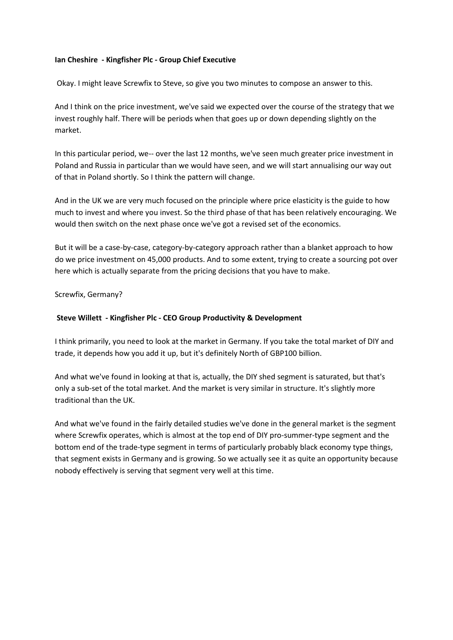### Ian Cheshire - Kingfisher Plc - Group Chief Executive

Okay. I might leave Screwfix to Steve, so give you two minutes to compose an answer to this.

And I think on the price investment, we've said we expected over the course of the strategy that we invest roughly half. There will be periods when that goes up or down depending slightly on the market.

In this particular period, we-- over the last 12 months, we've seen much greater price investment in Poland and Russia in particular than we would have seen, and we will start annualising our way out of that in Poland shortly. So I think the pattern will change.

And in the UK we are very much focused on the principle where price elasticity is the guide to how much to invest and where you invest. So the third phase of that has been relatively encouraging. We would then switch on the next phase once we've got a revised set of the economics.

But it will be a case-by-case, category-by-category approach rather than a blanket approach to how do we price investment on 45,000 products. And to some extent, trying to create a sourcing pot over here which is actually separate from the pricing decisions that you have to make.

Screwfix, Germany?

# Steve Willett - Kingfisher Plc - CEO Group Productivity & Development

I think primarily, you need to look at the market in Germany. If you take the total market of DIY and trade, it depends how you add it up, but it's definitely North of GBP100 billion.

And what we've found in looking at that is, actually, the DIY shed segment is saturated, but that's only a sub-set of the total market. And the market is very similar in structure. It's slightly more traditional than the UK.

And what we've found in the fairly detailed studies we've done in the general market is the segment where Screwfix operates, which is almost at the top end of DIY pro-summer-type segment and the bottom end of the trade-type segment in terms of particularly probably black economy type things, that segment exists in Germany and is growing. So we actually see it as quite an opportunity because nobody effectively is serving that segment very well at this time.